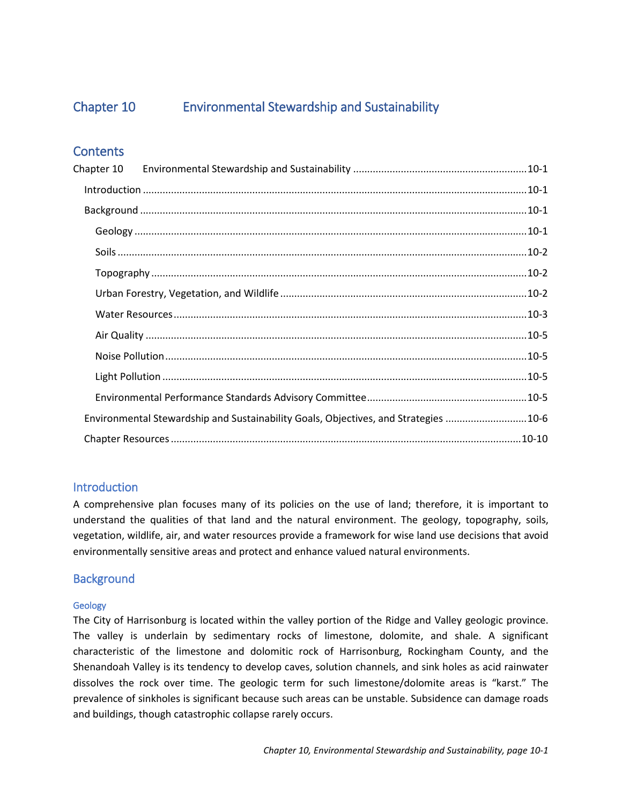Chapter 10.

# **Sustainability and Environmental Stewardship**







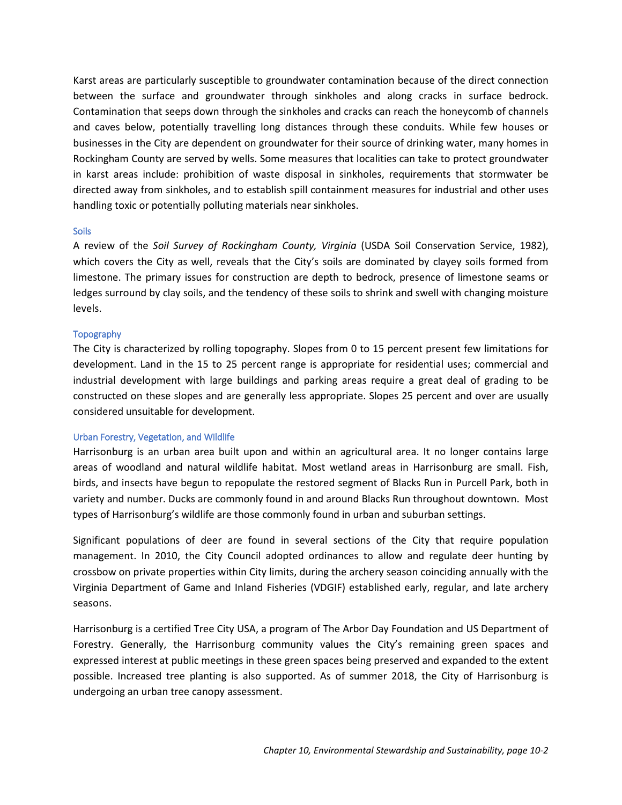# <span id="page-1-0"></span>Chapter 10 Environmental Stewardship and Sustainability

# **Contents**

| Chapter 10                                                                          |  |  |
|-------------------------------------------------------------------------------------|--|--|
|                                                                                     |  |  |
|                                                                                     |  |  |
|                                                                                     |  |  |
|                                                                                     |  |  |
|                                                                                     |  |  |
|                                                                                     |  |  |
|                                                                                     |  |  |
|                                                                                     |  |  |
|                                                                                     |  |  |
|                                                                                     |  |  |
|                                                                                     |  |  |
| Environmental Stewardship and Sustainability Goals, Objectives, and Strategies 10-6 |  |  |
|                                                                                     |  |  |

# <span id="page-1-1"></span>Introduction

A comprehensive plan focuses many of its policies on the use of land; therefore, it is important to understand the qualities of that land and the natural environment. The geology, topography, soils, vegetation, wildlife, air, and water resources provide a framework for wise land use decisions that avoid environmentally sensitive areas and protect and enhance valued natural environments.

# <span id="page-1-2"></span>**Background**

## <span id="page-1-3"></span>Geology

The City of Harrisonburg is located within the valley portion of the Ridge and Valley geologic province. The valley is underlain by sedimentary rocks of limestone, dolomite, and shale. A significant characteristic of the limestone and dolomitic rock of Harrisonburg, Rockingham County, and the Shenandoah Valley is its tendency to develop caves, solution channels, and sink holes as acid rainwater dissolves the rock over time. The geologic term for such limestone/dolomite areas is "karst." The prevalence of sinkholes is significant because such areas can be unstable. Subsidence can damage roads and buildings, though catastrophic collapse rarely occurs.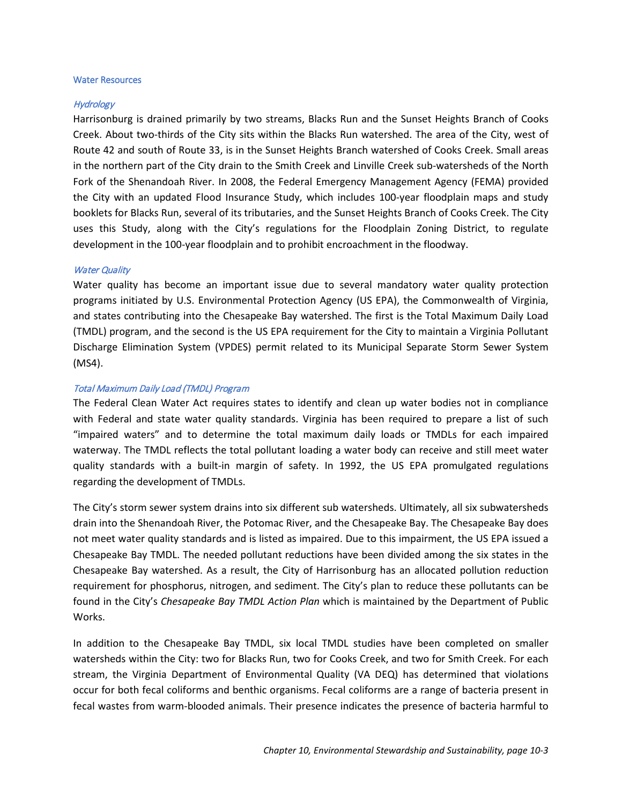Karst areas are particularly susceptible to groundwater contamination because of the direct connection between the surface and groundwater through sinkholes and along cracks in surface bedrock. Contamination that seeps down through the sinkholes and cracks can reach the honeycomb of channels and caves below, potentially travelling long distances through these conduits. While few houses or businesses in the City are dependent on groundwater for their source of drinking water, many homes in Rockingham County are served by wells. Some measures that localities can take to protect groundwater in karst areas include: prohibition of waste disposal in sinkholes, requirements that stormwater be directed away from sinkholes, and to establish spill containment measures for industrial and other uses handling toxic or potentially polluting materials near sinkholes.

#### <span id="page-2-0"></span>**Soils**

A review of the *Soil Survey of Rockingham County, Virginia* (USDA Soil Conservation Service, 1982), which covers the City as well, reveals that the City's soils are dominated by clayey soils formed from limestone. The primary issues for construction are depth to bedrock, presence of limestone seams or ledges surround by clay soils, and the tendency of these soils to shrink and swell with changing moisture levels.

#### <span id="page-2-1"></span>**Topography**

The City is characterized by rolling topography. Slopes from 0 to 15 percent present few limitations for development. Land in the 15 to 25 percent range is appropriate for residential uses; commercial and industrial development with large buildings and parking areas require a great deal of grading to be constructed on these slopes and are generally less appropriate. Slopes 25 percent and over are usually considered unsuitable for development.

#### <span id="page-2-2"></span>Urban Forestry, Vegetation, and Wildlife

Harrisonburg is an urban area built upon and within an agricultural area. It no longer contains large areas of woodland and natural wildlife habitat. Most wetland areas in Harrisonburg are small. Fish, birds, and insects have begun to repopulate the restored segment of Blacks Run in Purcell Park, both in variety and number. Ducks are commonly found in and around Blacks Run throughout downtown. Most types of Harrisonburg's wildlife are those commonly found in urban and suburban settings.

Significant populations of deer are found in several sections of the City that require population management. In 2010, the City Council adopted ordinances to allow and regulate deer hunting by crossbow on private properties within City limits, during the archery season coinciding annually with the Virginia Department of Game and Inland Fisheries (VDGIF) established early, regular, and late archery seasons.

Harrisonburg is a certified Tree City USA, a program of The Arbor Day Foundation and US Department of Forestry. Generally, the Harrisonburg community values the City's remaining green spaces and expressed interest at public meetings in these green spaces being preserved and expanded to the extent possible. Increased tree planting is also supported. As of summer 2018, the City of Harrisonburg is undergoing an urban tree canopy assessment.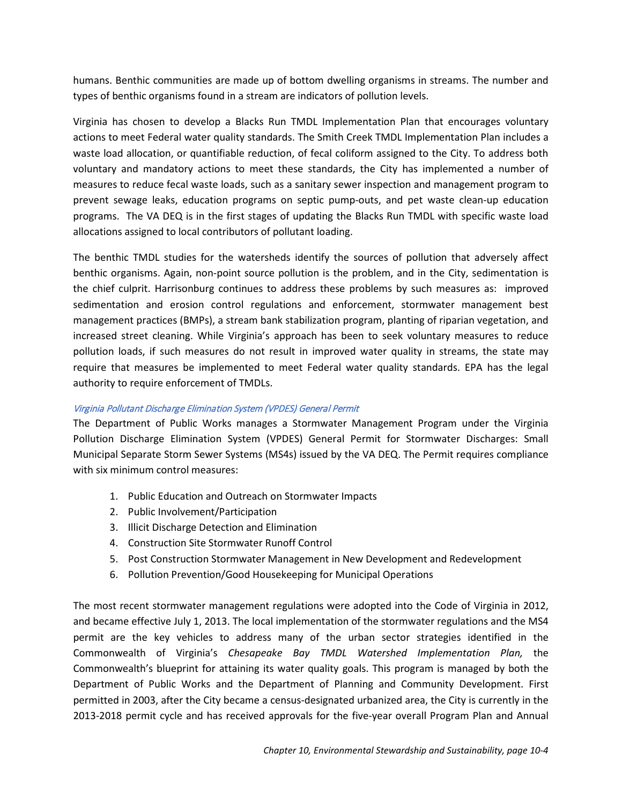#### <span id="page-3-0"></span>Water Resources

#### **Hydrology**

Harrisonburg is drained primarily by two streams, Blacks Run and the Sunset Heights Branch of Cooks Creek. About two-thirds of the City sits within the Blacks Run watershed. The area of the City, west of Route 42 and south of Route 33, is in the Sunset Heights Branch watershed of Cooks Creek. Small areas in the northern part of the City drain to the Smith Creek and Linville Creek sub-watersheds of the North Fork of the Shenandoah River. In 2008, the Federal Emergency Management Agency (FEMA) provided the City with an updated Flood Insurance Study, which includes 100-year floodplain maps and study booklets for Blacks Run, several of its tributaries, and the Sunset Heights Branch of Cooks Creek. The City uses this Study, along with the City's regulations for the Floodplain Zoning District, to regulate development in the 100-year floodplain and to prohibit encroachment in the floodway.

#### **Water Quality**

Water quality has become an important issue due to several mandatory water quality protection programs initiated by U.S. Environmental Protection Agency (US EPA), the Commonwealth of Virginia, and states contributing into the Chesapeake Bay watershed. The first is the Total Maximum Daily Load (TMDL) program, and the second is the US EPA requirement for the City to maintain a Virginia Pollutant Discharge Elimination System (VPDES) permit related to its Municipal Separate Storm Sewer System (MS4).

#### Total Maximum Daily Load (TMDL) Program

The Federal Clean Water Act requires states to identify and clean up water bodies not in compliance with Federal and state water quality standards. Virginia has been required to prepare a list of such "impaired waters" and to determine the total maximum daily loads or TMDLs for each impaired waterway. The TMDL reflects the total pollutant loading a water body can receive and still meet water quality standards with a built-in margin of safety. In 1992, the US EPA promulgated regulations regarding the development of TMDLs.

The City's storm sewer system drains into six different sub watersheds. Ultimately, all six subwatersheds drain into the Shenandoah River, the Potomac River, and the Chesapeake Bay. The Chesapeake Bay does not meet water quality standards and is listed as impaired. Due to this impairment, the US EPA issued a Chesapeake Bay TMDL. The needed pollutant reductions have been divided among the six states in the Chesapeake Bay watershed. As a result, the City of Harrisonburg has an allocated pollution reduction requirement for phosphorus, nitrogen, and sediment. The City's plan to reduce these pollutants can be found in the City's *Chesapeake Bay TMDL Action Plan* which is maintained by the Department of Public Works.

In addition to the Chesapeake Bay TMDL, six local TMDL studies have been completed on smaller watersheds within the City: two for Blacks Run, two for Cooks Creek, and two for Smith Creek. For each stream, the Virginia Department of Environmental Quality (VA DEQ) has determined that violations occur for both fecal coliforms and benthic organisms. Fecal coliforms are a range of bacteria present in fecal wastes from warm-blooded animals. Their presence indicates the presence of bacteria harmful to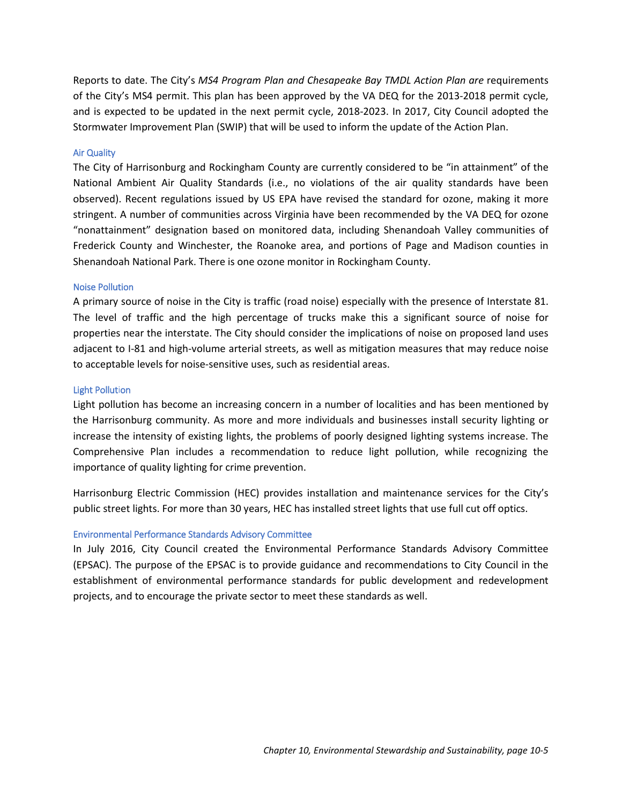humans. Benthic communities are made up of bottom dwelling organisms in streams. The number and types of benthic organisms found in a stream are indicators of pollution levels.

Virginia has chosen to develop a Blacks Run TMDL Implementation Plan that encourages voluntary actions to meet Federal water quality standards. The Smith Creek TMDL Implementation Plan includes a waste load allocation, or quantifiable reduction, of fecal coliform assigned to the City. To address both voluntary and mandatory actions to meet these standards, the City has implemented a number of measures to reduce fecal waste loads, such as a sanitary sewer inspection and management program to prevent sewage leaks, education programs on septic pump-outs, and pet waste clean-up education programs. The VA DEQ is in the first stages of updating the Blacks Run TMDL with specific waste load allocations assigned to local contributors of pollutant loading.

The benthic TMDL studies for the watersheds identify the sources of pollution that adversely affect benthic organisms. Again, non-point source pollution is the problem, and in the City, sedimentation is the chief culprit. Harrisonburg continues to address these problems by such measures as: improved sedimentation and erosion control regulations and enforcement, stormwater management best management practices (BMPs), a stream bank stabilization program, planting of riparian vegetation, and increased street cleaning. While Virginia's approach has been to seek voluntary measures to reduce pollution loads, if such measures do not result in improved water quality in streams, the state may require that measures be implemented to meet Federal water quality standards. EPA has the legal authority to require enforcement of TMDLs.

## Virginia Pollutant Discharge Elimination System (VPDES) General Permit

The Department of Public Works manages a Stormwater Management Program under the Virginia Pollution Discharge Elimination System (VPDES) General Permit for Stormwater Discharges: Small Municipal Separate Storm Sewer Systems (MS4s) issued by the VA DEQ. The Permit requires compliance with six minimum control measures:

- 1. Public Education and Outreach on Stormwater Impacts
- 2. Public Involvement/Participation
- 3. Illicit Discharge Detection and Elimination
- 4. Construction Site Stormwater Runoff Control
- 5. Post Construction Stormwater Management in New Development and Redevelopment
- 6. Pollution Prevention/Good Housekeeping for Municipal Operations

The most recent stormwater management regulations were adopted into the Code of Virginia in 2012, and became effective July 1, 2013. The local implementation of the stormwater regulations and the MS4 permit are the key vehicles to address many of the urban sector strategies identified in the Commonwealth of Virginia's *Chesapeake Bay TMDL Watershed Implementation Plan,* the Commonwealth's blueprint for attaining its water quality goals. This program is managed by both the Department of Public Works and the Department of Planning and Community Development. First permitted in 2003, after the City became a census-designated urbanized area, the City is currently in the 2013-2018 permit cycle and has received approvals for the five-year overall Program Plan and Annual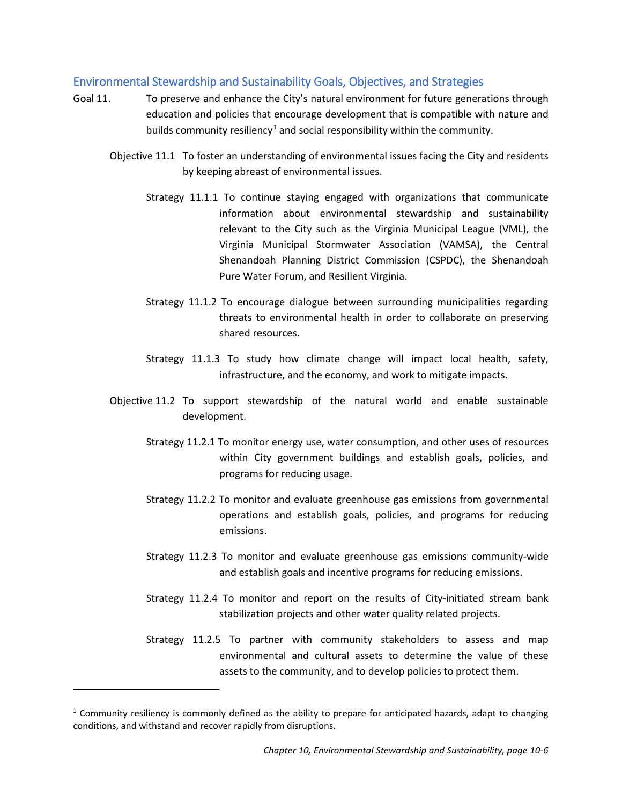Reports to date. The City's *MS4 Program Plan and Chesapeake Bay TMDL Action Plan are* requirements of the City's MS4 permit. This plan has been approved by the VA DEQ for the 2013-2018 permit cycle, and is expected to be updated in the next permit cycle, 2018-2023. In 2017, City Council adopted the Stormwater Improvement Plan (SWIP) that will be used to inform the update of the Action Plan.

#### <span id="page-5-0"></span>Air Quality

The City of Harrisonburg and Rockingham County are currently considered to be "in attainment" of the National Ambient Air Quality Standards (i.e., no violations of the air quality standards have been observed). Recent regulations issued by US EPA have revised the standard for ozone, making it more stringent. A number of communities across Virginia have been recommended by the VA DEQ for ozone "nonattainment" designation based on monitored data, including Shenandoah Valley communities of Frederick County and Winchester, the Roanoke area, and portions of Page and Madison counties in Shenandoah National Park. There is one ozone monitor in Rockingham County.

#### <span id="page-5-1"></span>Noise Pollution

A primary source of noise in the City is traffic (road noise) especially with the presence of Interstate 81. The level of traffic and the high percentage of trucks make this a significant source of noise for properties near the interstate. The City should consider the implications of noise on proposed land uses adjacent to I-81 and high-volume arterial streets, as well as mitigation measures that may reduce noise to acceptable levels for noise-sensitive uses, such as residential areas.

#### <span id="page-5-2"></span>Light Pollution

Light pollution has become an increasing concern in a number of localities and has been mentioned by the Harrisonburg community. As more and more individuals and businesses install security lighting or increase the intensity of existing lights, the problems of poorly designed lighting systems increase. The Comprehensive Plan includes a recommendation to reduce light pollution, while recognizing the importance of quality lighting for crime prevention.

Harrisonburg Electric Commission (HEC) provides installation and maintenance services for the City's public street lights. For more than 30 years, HEC has installed street lights that use full cut off optics.

#### <span id="page-5-3"></span>Environmental Performance Standards Advisory Committee

In July 2016, City Council created the Environmental Performance Standards Advisory Committee (EPSAC). The purpose of the EPSAC is to provide guidance and recommendations to City Council in the establishment of environmental performance standards for public development and redevelopment projects, and to encourage the private sector to meet these standards as well.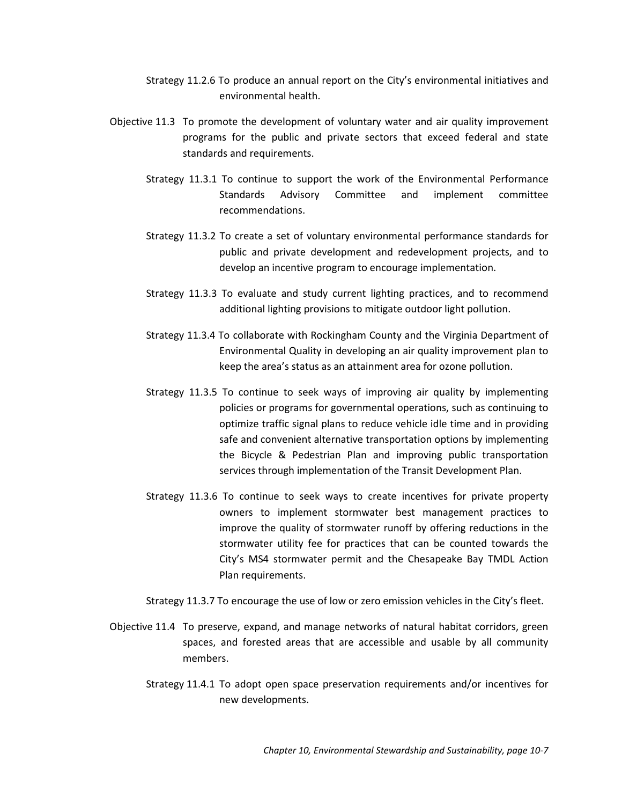## <span id="page-6-0"></span>Environmental Stewardship and Sustainability Goals, Objectives, and Strategies

- Goal 11. To preserve and enhance the City's natural environment for future generations through education and policies that encourage development that is compatible with nature and builds community resiliency<sup>[1](#page-6-1)</sup> and social responsibility within the community.
	- Objective 11.1 To foster an understanding of environmental issues facing the City and residents by keeping abreast of environmental issues.
		- Strategy 11.1.1 To continue staying engaged with organizations that communicate information about environmental stewardship and sustainability relevant to the City such as the Virginia Municipal League (VML), the Virginia Municipal Stormwater Association (VAMSA), the Central Shenandoah Planning District Commission (CSPDC), the Shenandoah Pure Water Forum, and Resilient Virginia.
		- Strategy 11.1.2 To encourage dialogue between surrounding municipalities regarding threats to environmental health in order to collaborate on preserving shared resources.
		- Strategy 11.1.3 To study how climate change will impact local health, safety, infrastructure, and the economy, and work to mitigate impacts.
	- Objective 11.2 To support stewardship of the natural world and enable sustainable development.
		- Strategy 11.2.1 To monitor energy use, water consumption, and other uses of resources within City government buildings and establish goals, policies, and programs for reducing usage.
		- Strategy 11.2.2 To monitor and evaluate greenhouse gas emissions from governmental operations and establish goals, policies, and programs for reducing emissions.
		- Strategy 11.2.3 To monitor and evaluate greenhouse gas emissions community-wide and establish goals and incentive programs for reducing emissions.
		- Strategy 11.2.4 To monitor and report on the results of City-initiated stream bank stabilization projects and other water quality related projects.
		- Strategy 11.2.5 To partner with community stakeholders to assess and map environmental and cultural assets to determine the value of these assets to the community, and to develop policies to protect them.

 $\overline{a}$ 

<span id="page-6-1"></span><sup>&</sup>lt;sup>1</sup> Community resiliency is commonly defined as the ability to prepare for anticipated hazards, adapt to changing conditions, and withstand and recover rapidly from disruptions.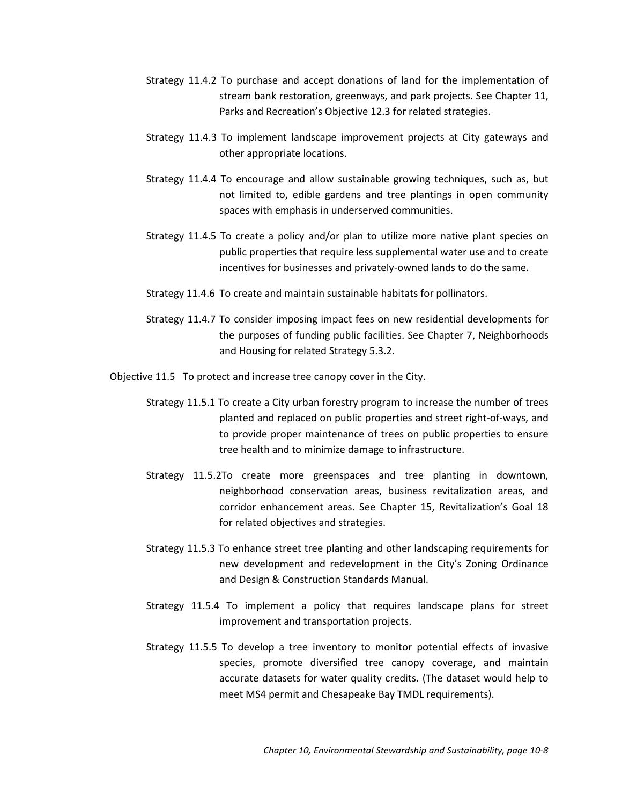Strategy 11.2.6 To produce an annual report on the City's environmental initiatives and environmental health.

- Objective 11.3 To promote the development of voluntary water and air quality improvement programs for the public and private sectors that exceed federal and state standards and requirements.
	- Strategy 11.3.1 To continue to support the work of the Environmental Performance Standards Advisory Committee and implement committee recommendations.
	- Strategy 11.3.2 To create a set of voluntary environmental performance standards for public and private development and redevelopment projects, and to develop an incentive program to encourage implementation.
	- Strategy 11.3.3 To evaluate and study current lighting practices, and to recommend additional lighting provisions to mitigate outdoor light pollution.
	- Strategy 11.3.4 To collaborate with Rockingham County and the Virginia Department of Environmental Quality in developing an air quality improvement plan to keep the area's status as an attainment area for ozone pollution.
	- Strategy 11.3.5 To continue to seek ways of improving air quality by implementing policies or programs for governmental operations, such as continuing to optimize traffic signal plans to reduce vehicle idle time and in providing safe and convenient alternative transportation options by implementing the Bicycle & Pedestrian Plan and improving public transportation services through implementation of the Transit Development Plan.
	- Strategy 11.3.6 To continue to seek ways to create incentives for private property owners to implement stormwater best management practices to improve the quality of stormwater runoff by offering reductions in the stormwater utility fee for practices that can be counted towards the City's MS4 stormwater permit and the Chesapeake Bay TMDL Action Plan requirements.
	- Strategy 11.3.7 To encourage the use of low or zero emission vehicles in the City's fleet.
- Objective 11.4 To preserve, expand, and manage networks of natural habitat corridors, green spaces, and forested areas that are accessible and usable by all community members.
	- Strategy 11.4.1 To adopt open space preservation requirements and/or incentives for new developments.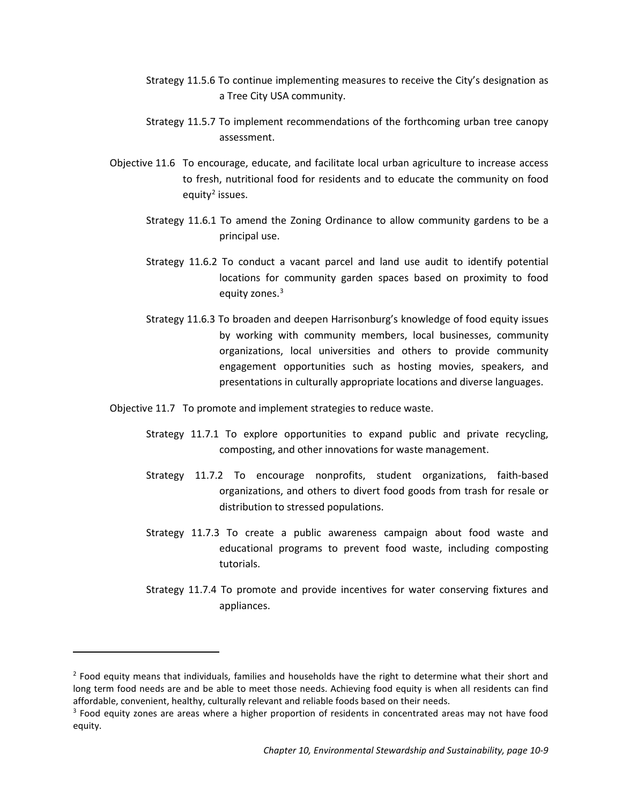- Strategy 11.4.2 To purchase and accept donations of land for the implementation of stream bank restoration, greenways, and park projects. See Chapter 11, Parks and Recreation's Objective 12.3 for related strategies.
- Strategy 11.4.3 To implement landscape improvement projects at City gateways and other appropriate locations.
- Strategy 11.4.4 To encourage and allow sustainable growing techniques, such as, but not limited to, edible gardens and tree plantings in open community spaces with emphasis in underserved communities.
- Strategy 11.4.5 To create a policy and/or plan to utilize more native plant species on public properties that require less supplemental water use and to create incentives for businesses and privately-owned lands to do the same.
- Strategy 11.4.6 To create and maintain sustainable habitats for pollinators.
- Strategy 11.4.7 To consider imposing impact fees on new residential developments for the purposes of funding public facilities. See Chapter 7, Neighborhoods and Housing for related Strategy 5.3.2.
- Objective 11.5 To protect and increase tree canopy cover in the City.
	- Strategy 11.5.1 To create a City urban forestry program to increase the number of trees planted and replaced on public properties and street right-of-ways, and to provide proper maintenance of trees on public properties to ensure tree health and to minimize damage to infrastructure.
	- Strategy 11.5.2To create more greenspaces and tree planting in downtown, neighborhood conservation areas, business revitalization areas, and corridor enhancement areas. See Chapter 15, Revitalization's Goal 18 for related objectives and strategies.
	- Strategy 11.5.3 To enhance street tree planting and other landscaping requirements for new development and redevelopment in the City's Zoning Ordinance and Design & Construction Standards Manual.
	- Strategy 11.5.4 To implement a policy that requires landscape plans for street improvement and transportation projects.
	- Strategy 11.5.5 To develop a tree inventory to monitor potential effects of invasive species, promote diversified tree canopy coverage, and maintain accurate datasets for water quality credits. (The dataset would help to meet MS4 permit and Chesapeake Bay TMDL requirements).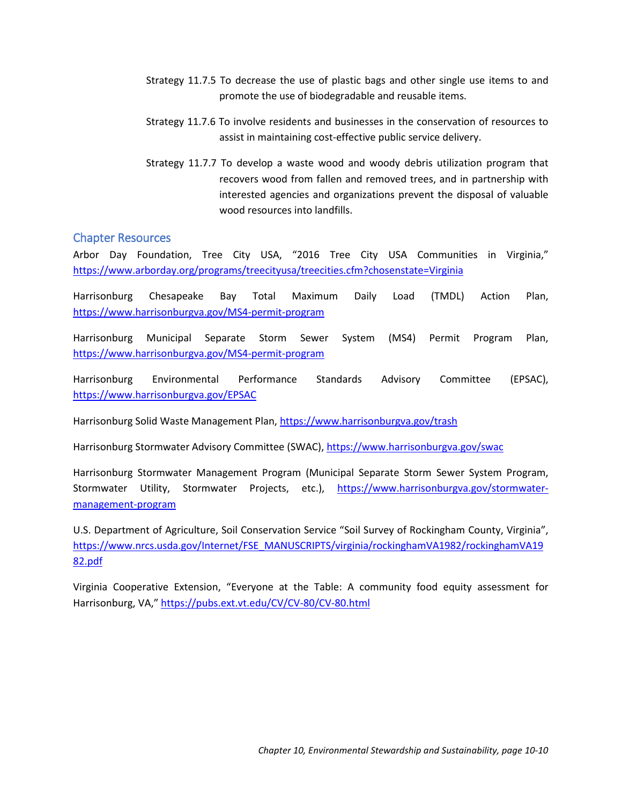- Strategy 11.5.6 To continue implementing measures to receive the City's designation as a Tree City USA community.
- Strategy 11.5.7 To implement recommendations of the forthcoming urban tree canopy assessment.
- Objective 11.6 To encourage, educate, and facilitate local urban agriculture to increase access to fresh, nutritional food for residents and to educate the community on food equity<sup>[2](#page-9-0)</sup> issues.
	- Strategy 11.6.1 To amend the Zoning Ordinance to allow community gardens to be a principal use.
	- Strategy 11.6.2 To conduct a vacant parcel and land use audit to identify potential locations for community garden spaces based on proximity to food equity zones.<sup>[3](#page-9-1)</sup>
	- Strategy 11.6.3 To broaden and deepen Harrisonburg's knowledge of food equity issues by working with community members, local businesses, community organizations, local universities and others to provide community engagement opportunities such as hosting movies, speakers, and presentations in culturally appropriate locations and diverse languages.
- Objective 11.7 To promote and implement strategies to reduce waste.
	- Strategy 11.7.1 To explore opportunities to expand public and private recycling, composting, and other innovations for waste management.
	- Strategy 11.7.2 To encourage nonprofits, student organizations, faith-based organizations, and others to divert food goods from trash for resale or distribution to stressed populations.
	- Strategy 11.7.3 To create a public awareness campaign about food waste and educational programs to prevent food waste, including composting tutorials.
	- Strategy 11.7.4 To promote and provide incentives for water conserving fixtures and appliances.

 $\overline{a}$ 

<span id="page-9-0"></span><sup>&</sup>lt;sup>2</sup> Food equity means that individuals, families and households have the right to determine what their short and long term food needs are and be able to meet those needs. Achieving food equity is when all residents can find affordable, convenient, healthy, culturally relevant and reliable foods based on their needs.

<span id="page-9-1"></span><sup>&</sup>lt;sup>3</sup> Food equity zones are areas where a higher proportion of residents in concentrated areas may not have food equity.